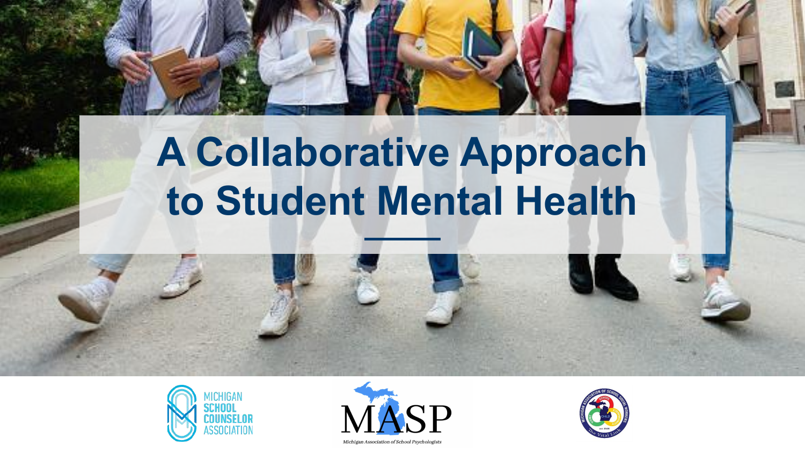# **A Collaborative Approach to Student Mental Health**





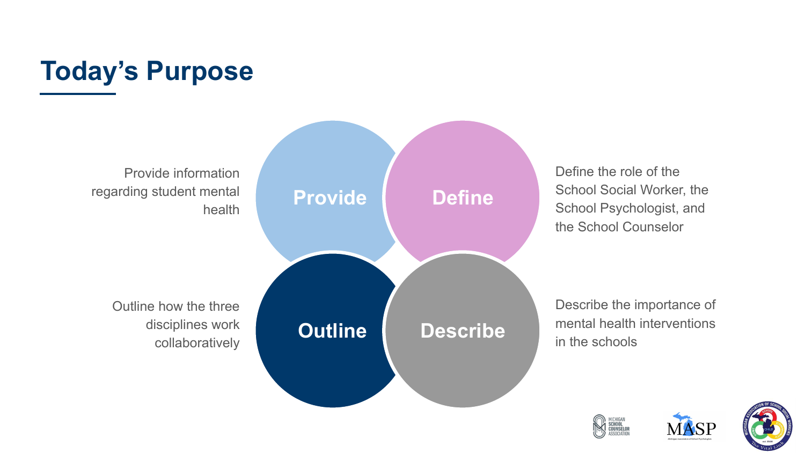#### **Today's Purpose**

Provide information regarding student mental health



Define the role of the School Social Worker, the School Psychologist, and the School Counselor

Describe the importance of mental health interventions in the schools





MASF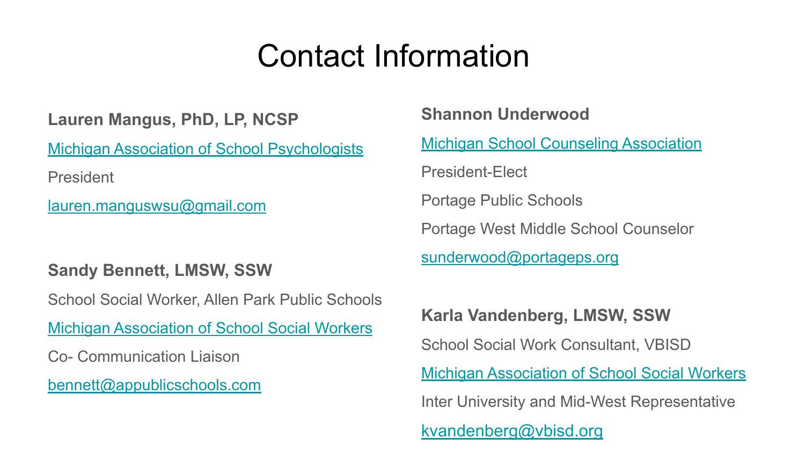### Contact Information

**Lauren Mangus, PhD, LP, NCSP**

[Michigan Association of School Psychologists](https://www.google.com/url?q=https://masp.wildapricot.org/&sa=D&source=editors&ust=1643214108360052&usg=AOvVaw1QDDH-li43ogSqXo-RxuBW)

President

[lauren.manguswsu@gmail.com](mailto:lauren.manguswsu@gmail.com)

#### **Sandy Bennett, LMSW, SSW**

School Social Worker, Allen Park Public Schools

[Michigan Association of School Social Workers](https://www.google.com/url?q=https://masswmi.site-ym.com/&sa=D&source=editors&ust=1643214108360956&usg=AOvVaw15SxNkOL62DqjtCCU4DE2d)

Co- Communication Liaison

[bennett@appublicschools.com](mailto:bennett@appublicschools.com)

**Shannon Underwood** [Michigan School Counseling Association](https://www.google.com/url?q=https://www.schoolcounselor.org/getmedia/ee8b2e1b-d021-4575-982c-c84402cb2cd2/Role-Statement.pdf&sa=D&source=editors&ust=1643214108382679&usg=AOvVaw3sTx1ceFqZgft3T4wMuvJW) President-Elect Portage Public Schools Portage West Middle School Counselor [sunderwood@portageps.org](mailto:sunderwood@portageps.org) **Karla Vandenberg, LMSW, SSW**

School Social Work Consultant, VBISD

[Michigan Association of School Social Workers](https://www.google.com/url?q=https://masswmi.site-ym.com/&sa=D&source=editors&ust=1643214108384473&usg=AOvVaw3IrjKy8hnio9-35cLjXWxk)

Inter University and Mid-West Representative

[kvandenberg@vbisd.org](mailto:kvandenberg@vbisd.org)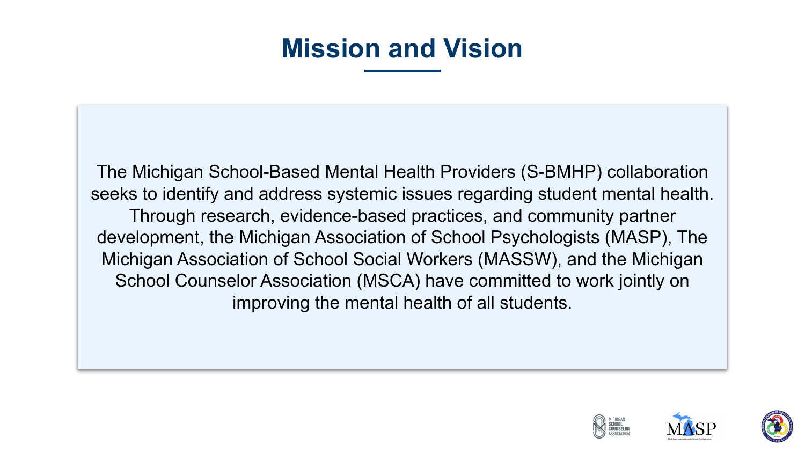#### **Mission and Vision**

The Michigan School-Based Mental Health Providers (S-BMHP) collaboration seeks to identify and address systemic issues regarding student mental health. Through research, evidence-based practices, and community partner development, the Michigan Association of School Psychologists (MASP), The Michigan Association of School Social Workers (MASSW), and the Michigan School Counselor Association (MSCA) have committed to work jointly on improving the mental health of all students.



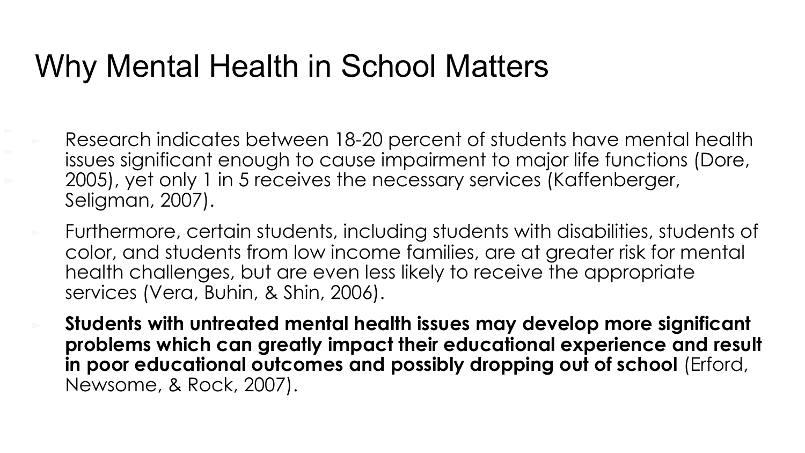#### Why Mental Health in School Matters

- Research indicates between 18-20 percent of students have mental health issues significant enough to cause impairment to major life functions (Dore, 2005), yet only 1 in 5 receives the necessary services (Kaffenberger, Seligman, 2007).
- Furthermore, certain students, including students with disabilities, students of color, and students from low income families, are at greater risk for mental health challenges, but are even less likely to receive the appropriate services (Vera, Buhin, & Shin, 2006).
- ► **Students with untreated mental health issues may develop more significant problems which can greatly impact their educational experience and result in poor educational outcomes and possibly dropping out of school** (Erford, Newsome, & Rock, 2007).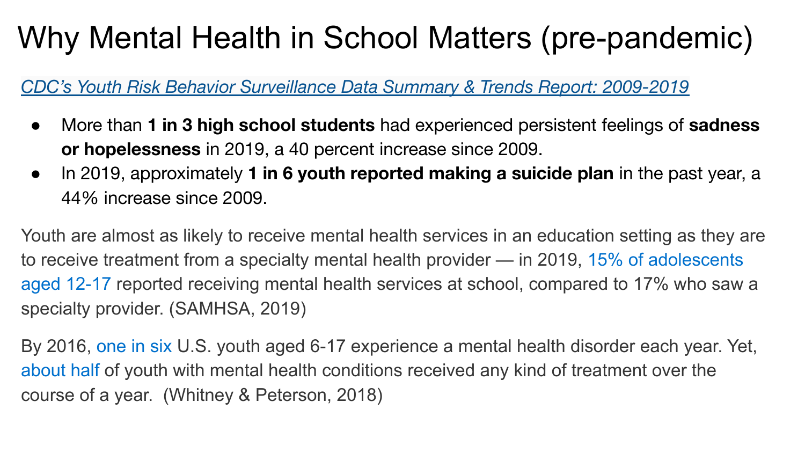## Why Mental Health in School Matters (pre-pandemic)

*[CDC's Youth Risk Behavior Surveillance Data Summary & Trends Report: 2009-2019](https://www.google.com/url?q=https://www.cdc.gov/healthyyouth/data/yrbs/pdf/YRBSDataSummaryTrendsReport2019-508.pdf&sa=D&source=editors&ust=1643214108838553&usg=AOvVaw0FKWIxPfX9ZiCQ_IbWy_jV)*

- More than **1 in 3 high school students** had experienced persistent feelings of **sadness or hopelessness** in 2019, a 40 percent increase since 2009.
- In 2019, approximately **1 in 6 youth reported making a suicide plan** in the past year, a 44% increase since 2009.

Youth are almost as likely to receive mental health services in an education setting as they are to receive treatment from a specialty mental health provider — in 2019, [15% of adolescents](https://www.google.com/url?q=https://www.samhsa.gov/data/sites/default/files/reports/rpt29393/2019NSDUHFFRPDFWHTML/2019NSDUHFFR1PDFW090120.pdf&sa=D&source=editors&ust=1643214108838957&usg=AOvVaw0h1GZBEUNx19oXWVfbu2gL) [aged 12-17](https://www.google.com/url?q=https://www.samhsa.gov/data/sites/default/files/reports/rpt29393/2019NSDUHFFRPDFWHTML/2019NSDUHFFR1PDFW090120.pdf&sa=D&source=editors&ust=1643214108839198&usg=AOvVaw384RFA6Eam4EiEwwv2xvA8) reported receiving mental health services at school, compared to 17% who saw a specialty provider. (SAMHSA, 2019)

By 2016, [one in six](https://www.google.com/url?q=https://jamanetwork.com/journals/jamapediatrics/fullarticle/2724377?guestAccessKey%3Df689aa19-31f1-481d-878a-6bf83844536a&sa=D&source=editors&ust=1643214108839504&usg=AOvVaw2pyFcPCuyF6WsPJYwz75LM) U.S. youth aged 6-17 experience a mental health disorder each year. Yet, [about half](https://www.google.com/url?q=https://jamanetwork.com/journals/jamapediatrics/fullarticle/2724377?guestAccessKey%3Df689aa19-31f1-481d-878a-6bf83844536a&sa=D&source=editors&ust=1643214108839702&usg=AOvVaw0vwClEG5sHpp9sE12YuvQA) of youth with mental health conditions received any kind of treatment over the course of a year. (Whitney & Peterson, 2018)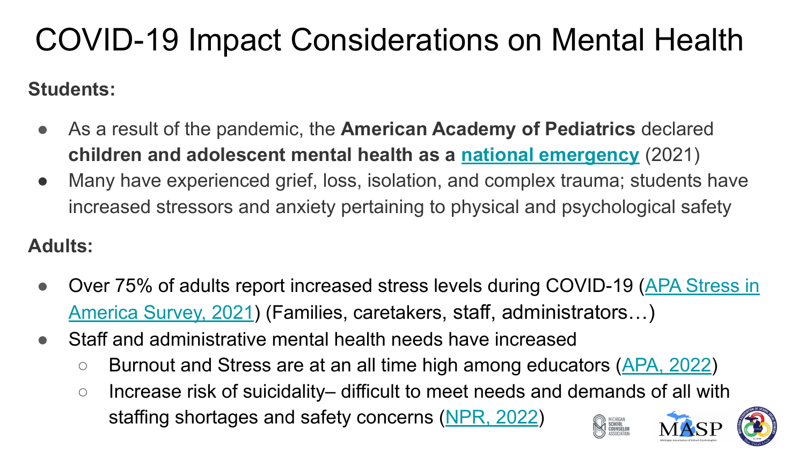# COVID-19 Impact Considerations on Mental Health

#### **Students:**

- As a result of the pandemic, the **American Academy of Pediatrics** declared **children and adolescent mental health as a [national emergency](https://www.google.com/url?q=https://www.aap.org/en/advocacy/child-and-adolescent-healthy-mental-development/aap-aacap-cha-declaration-of-a-national-emergency-in-child-and-adolescent-mental-health/&sa=D&source=editors&ust=1643214108871348&usg=AOvVaw1xydBwWFtGmXiFI1E-6qfM)** (2021)
- Many have experienced grief, loss, isolation, and complex trauma; students have increased stressors and anxiety pertaining to physical and psychological safety

#### **Adults:**

- Over 75% of adults report increased stress levels during COVID-19 ([APA Stress in](https://www.google.com/url?q=https://www.apa.org/news/press/releases/stress/2021/sia-pandemic-report.pdf&sa=D&source=editors&ust=1643214108871918&usg=AOvVaw277UCI8Pfn6VjHyyfwXnlS) [America Survey, 2021](https://www.google.com/url?q=https://www.apa.org/news/press/releases/stress/2021/sia-pandemic-report.pdf&sa=D&source=editors&ust=1643214108872155&usg=AOvVaw1QIqxEpghXUgbQg1ZrpPCJ)) (Families, caretakers, staff, administrators…)
- Staff and administrative mental health needs have increased
	- Burnout and Stress are at an all time high among educators [\(APA, 2022](https://www.google.com/url?q=https://www.apa.org/monitor/2022/01/special-burnout-stress&sa=D&source=editors&ust=1643214108872361&usg=AOvVaw1tu5EUXWTW4TDlqEp0XYVR))
	- Increase risk of suicidality– difficult to meet needs and demands of all with staffing shortages and safety concerns [\(NPR, 2022](https://www.google.com/url?q=https://www.npr.org/2022/01/11/1072019293/the-challenges-of-trying-to-keep-schools-open-during-the-omicron-surge&sa=D&source=editors&ust=1643214108872651&usg=AOvVaw3Vj-YMulchpu1FXsWqkRmh))MICHIGAN<br>School<br>Counselof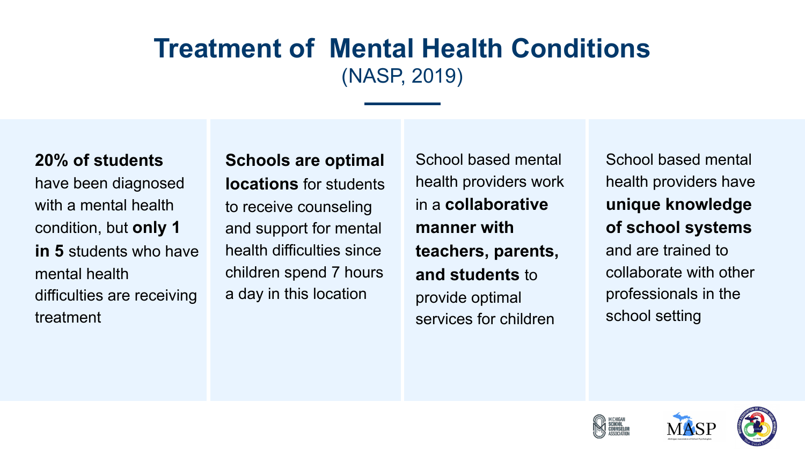#### **Treatment of Mental Health Conditions**  (NASP, 2019)

#### **20% of students**

have been diagnosed with a mental health condition, but **only 1 in 5** students who have mental health difficulties are receiving treatment

**Schools are optimal locations** for students to receive counseling and support for mental health difficulties since children spend 7 hours a day in this location

School based mental health providers work in a **collaborative manner with teachers, parents, and students** to provide optimal services for children

School based mental health providers have **unique knowledge of school systems** and are trained to collaborate with other professionals in the school setting





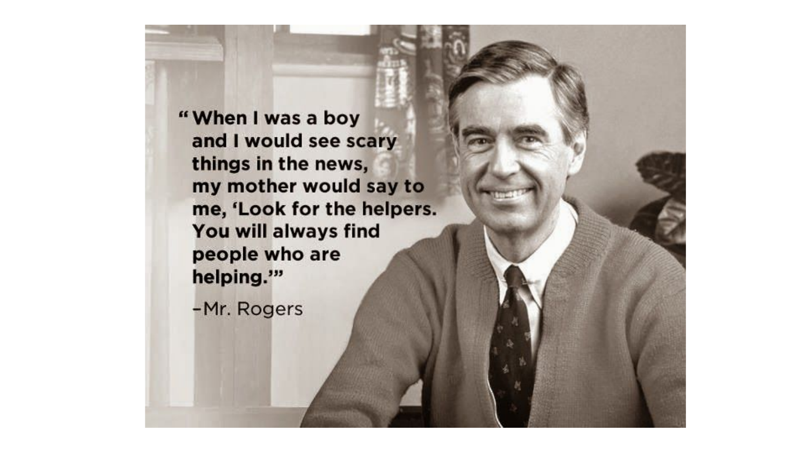"When I was a boy and I would see scary things in the news, my mother would say to me, 'Look for the helpers. You will always find people who are helping."

-Mr. Rogers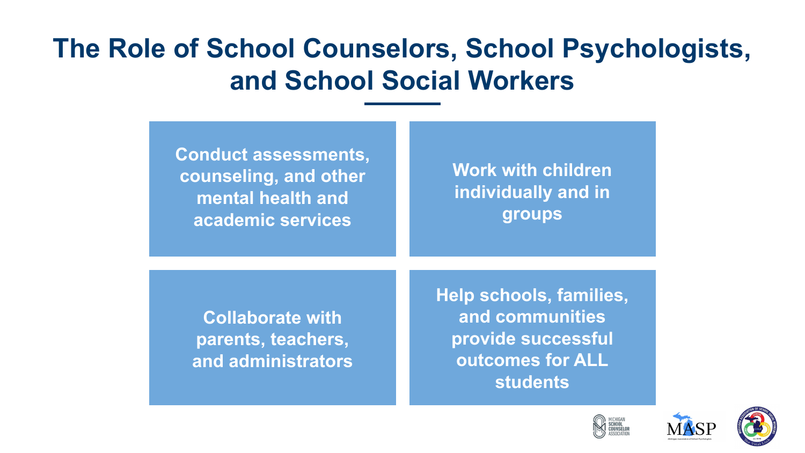#### **The Role of School Counselors, School Psychologists, and School Social Workers**

| <b>Conduct assessments,</b> |
|-----------------------------|
| counseling, and other       |
| mental health and           |
| academic services           |

**Work with children individually and in groups**

**Collaborate with parents, teachers, and administrators** **Help schools, families, and communities provide successful outcomes for ALL students**





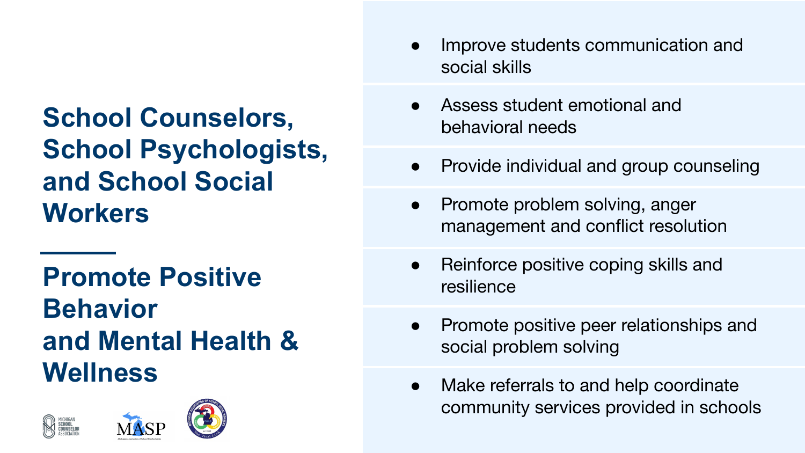**School Counselors, School Psychologists, and School Social Workers** 

**Promote Positive Behavior and Mental Health & Wellness**





- Improve students communication and social skills
- Assess student emotional and behavioral needs
- Provide individual and group counseling
- Promote problem solving, anger management and conflict resolution
- Reinforce positive coping skills and resilience
- Promote positive peer relationships and social problem solving
- Make referrals to and help coordinate community services provided in schools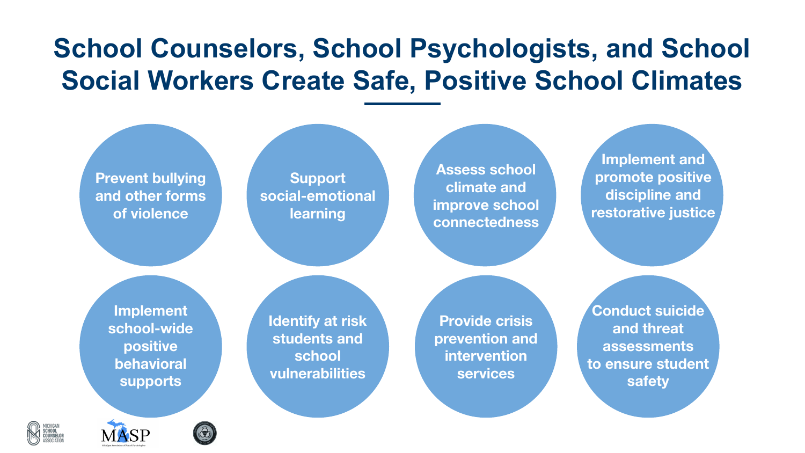#### **School Counselors, School Psychologists, and School Social Workers Create Safe, Positive School Climates**





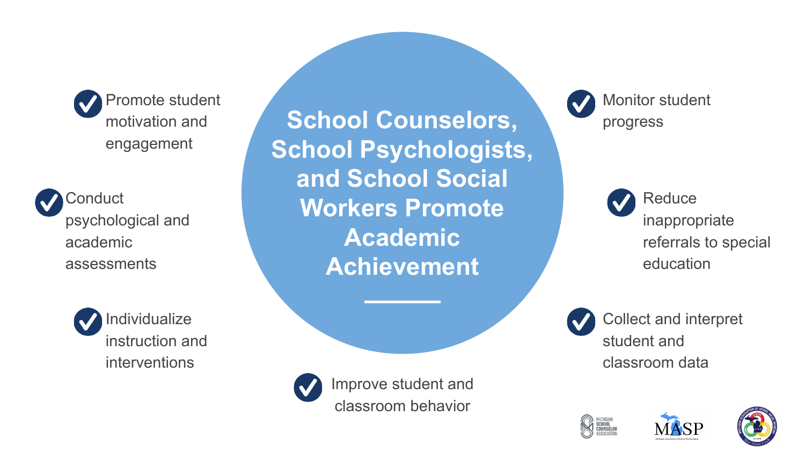





**School Counselors, School Psychologists, and School Social Workers Promote Academic Achievement**



Improve student and classroom behavior

Monitor student progress

> **Reduce** inappropriate referrals to special education





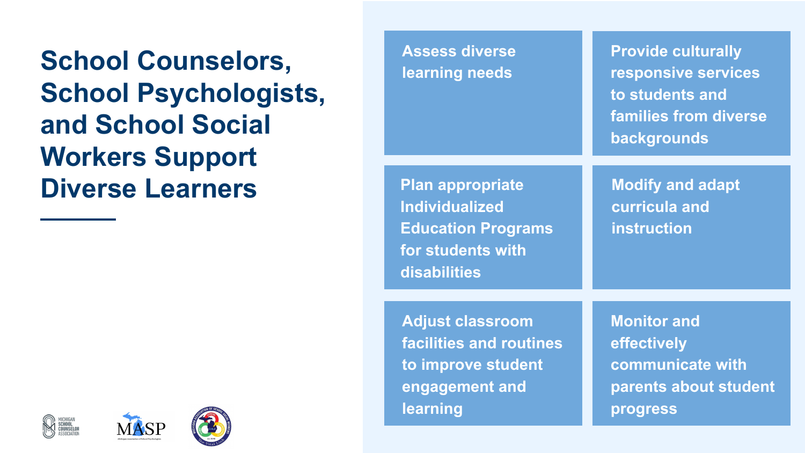**School Counselors, School Psychologists, and School Social Workers Support Diverse Learners**

| <b>Assess diverse</b><br>learning needs                                                                            | <b>Provide culturally</b><br>responsive services<br>to students and<br>families from diverse<br>backgrounds |
|--------------------------------------------------------------------------------------------------------------------|-------------------------------------------------------------------------------------------------------------|
| <b>Plan appropriate</b><br><b>Individualized</b><br><b>Education Programs</b><br>for students with<br>disabilities | <b>Modify and adapt</b><br>curricula and<br><b>instruction</b>                                              |
| <b>Adjust classroom</b><br>facilities and routines<br>to improve student<br>engagement and<br>learning             | <b>Monitor and</b><br>effectively<br>communicate with<br>parents about student<br>progress                  |



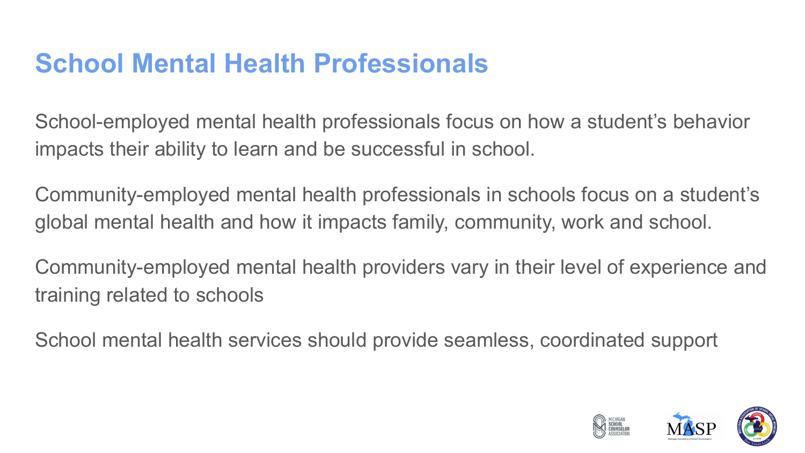#### **School Mental Health Professionals**

School-employed mental health professionals focus on how a student's behavior impacts their ability to learn and be successful in school.

Community-employed mental health professionals in schools focus on a student's global mental health and how it impacts family, community, work and school.

Community-employed mental health providers vary in their level of experience and training related to schools

School mental health services should provide seamless, coordinated support

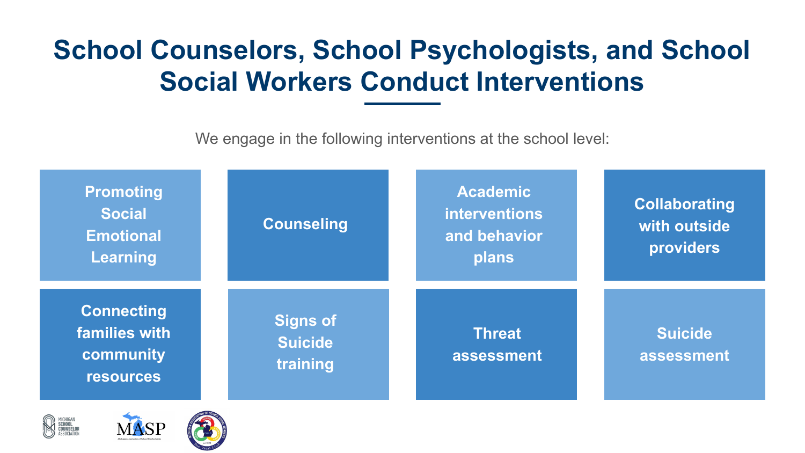#### **School Counselors, School Psychologists, and School Social Workers Conduct Interventions**

We engage in the following interventions at the school level:





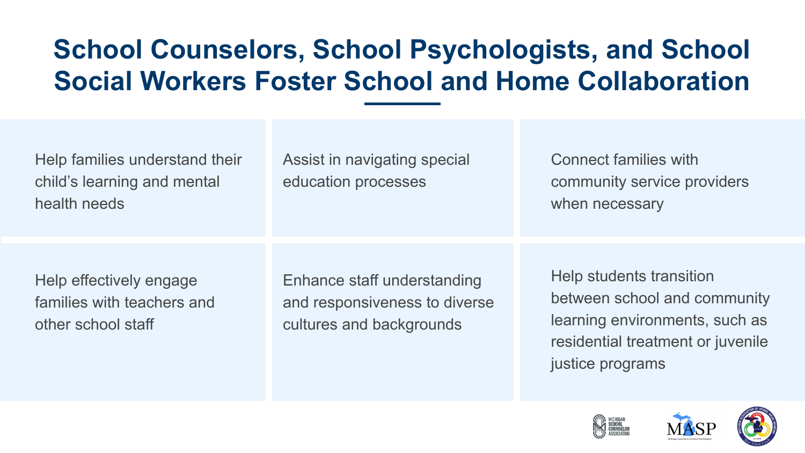#### **School Counselors, School Psychologists, and School Social Workers Foster School and Home Collaboration**

| Help families understand their<br>child's learning and mental<br>health needs | Assist in navigating special<br>education processes                                      | <b>Connect families with</b><br>community service providers<br>when necessary                                                                       |
|-------------------------------------------------------------------------------|------------------------------------------------------------------------------------------|-----------------------------------------------------------------------------------------------------------------------------------------------------|
|                                                                               |                                                                                          |                                                                                                                                                     |
| Help effectively engage<br>families with teachers and<br>other school staff   | Enhance staff understanding<br>and responsiveness to diverse<br>cultures and backgrounds | Help students transition<br>between school and community<br>learning environments, such as<br>residential treatment or juvenile<br>justice programs |



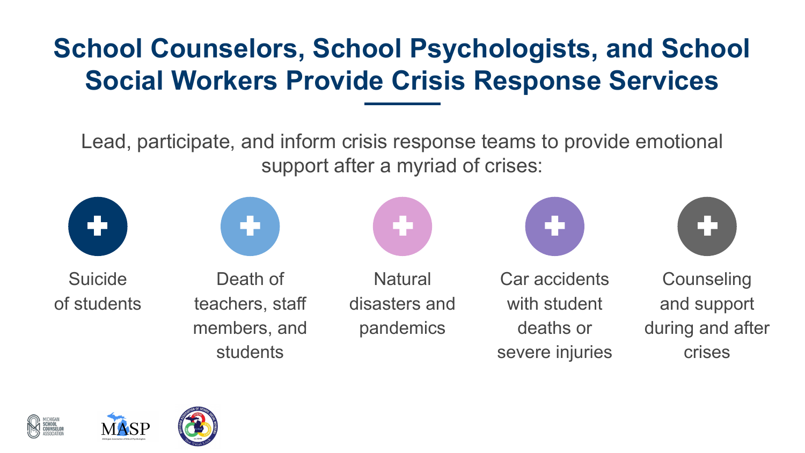#### **School Counselors, School Psychologists, and School Social Workers Provide Crisis Response Services**

Lead, participate, and inform crisis response teams to provide emotional support after a myriad of crises:





Suicide of students

Death of teachers, staff members, and students

**Natural** disasters and

pandemics







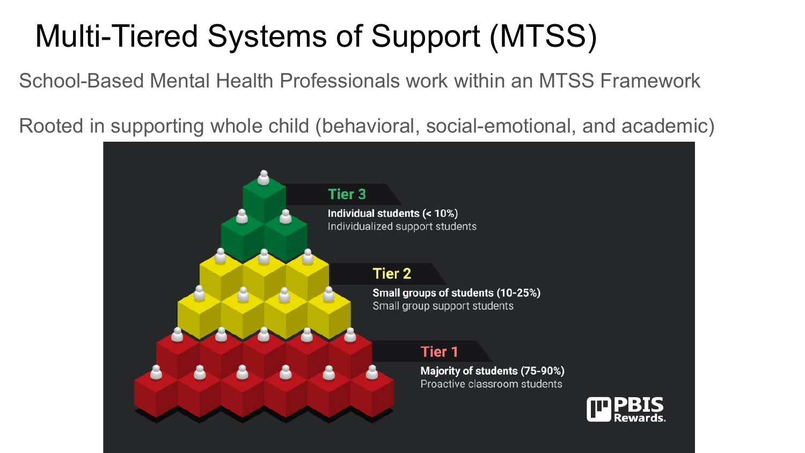## Multi-Tiered Systems of Support (MTSS)

School-Based Mental Health Professionals work within an MTSS Framework

Rooted in supporting whole child (behavioral, social-emotional, and academic)

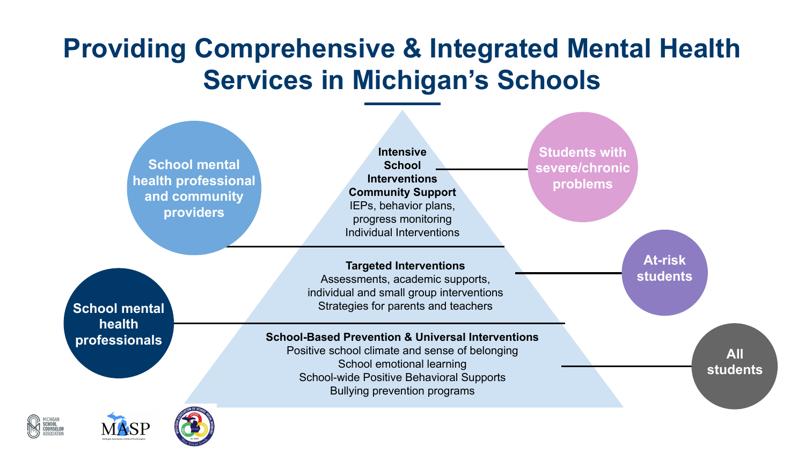#### **Providing Comprehensive & Integrated Mental Health Services in Michigan's Schools**

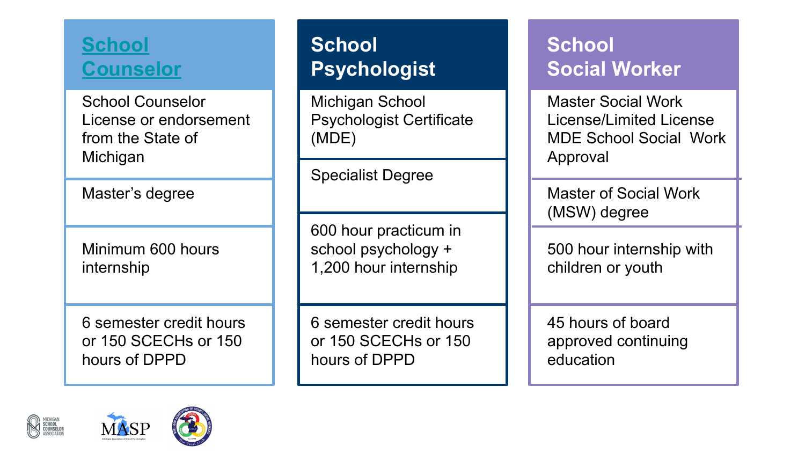#### **[School](https://www.google.com/url?q=https://www.schoolcounselor.org/getmedia/ee8b2e1b-d021-4575-982c-c84402cb2cd2/Role-Statement.pdf&sa=D&source=editors&ust=1643214110206773&usg=AOvVaw0vZvYmJB4bZNEo5VW5446C) [Counselor](https://www.google.com/url?q=https://www.schoolcounselor.org/getmedia/ee8b2e1b-d021-4575-982c-c84402cb2cd2/Role-Statement.pdf&sa=D&source=editors&ust=1643214110206985&usg=AOvVaw3sS63tIOW60EfdHSkH1K6V)**

School Counselor License or endorsement from the State of Michigan

Master's degree

Minimum 600 hours internship

6 semester credit hours or 150 SCECHs or 150 hours of DPPD

#### **School Psychologist**

Michigan School Psychologist Certificate (MDE)

Specialist Degree

600 hour practicum in school psychology + 1,200 hour internship

6 semester credit hours or 150 SCECHs or 150 hours of DPPD

#### **School Social Worker**

Master Social Work License/Limited License MDE School Social Work Approval

Master of Social Work (MSW) degree

500 hour internship with children or youth

45 hours of board approved continuing education





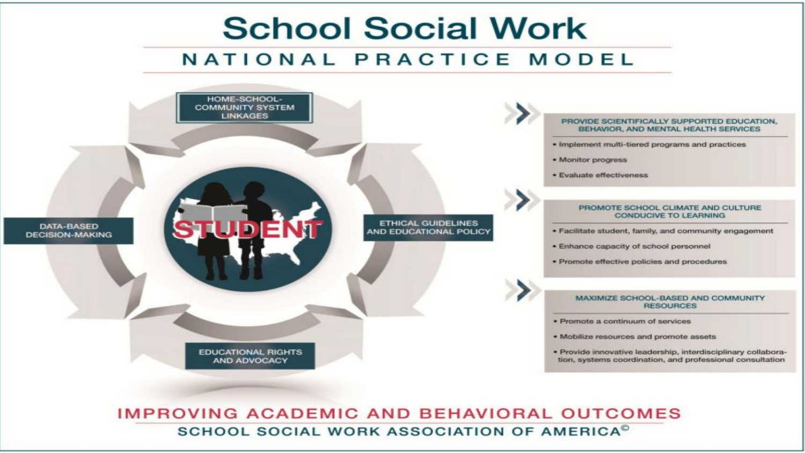

SCHOOL SOCIAL WORK ASSOCIATION OF AMERICA<sup>®</sup>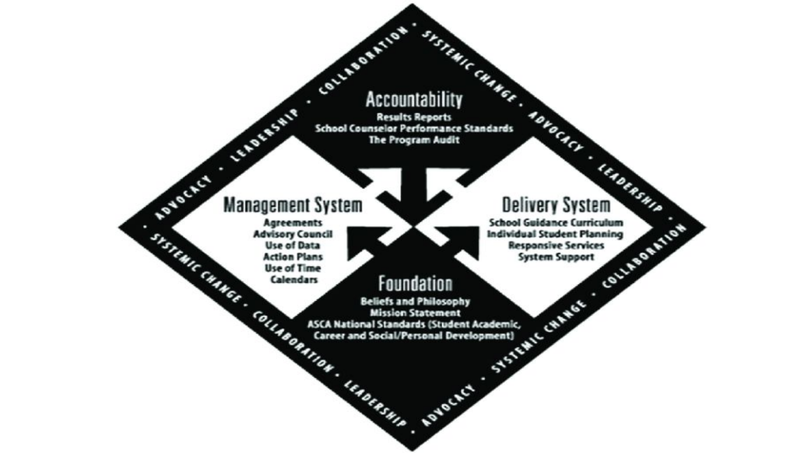# COLLADORATION **Accountability**

systems cuanor . Abvocacy . **Results Reports School Counselor Performance Standards** The Program Audit

#### ADVOCACY **Management System**

LEADERSALP

÷.

٠

**Agreements** SYSTEMIC CHARGE . **Advisory Council Use of Data Action Plans Use of Time** Calendars

# · IEADERSHIP **Delivery System**

. SYSTEM'S CHAMBER . COLLADGEMION

Foundation COLLADORATION . LEADERSHIP . **Beliefs and Philosophy Mission Statement ASCA National Standards (Student Academic,** Career and Social/Personal Development)

ADVOCACE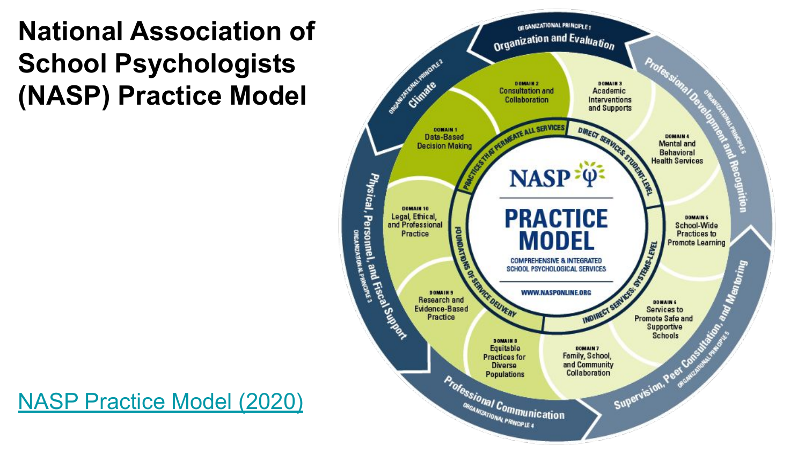#### **National Association of School Psychologists (NASP) Practice Model**



[NASP Practice Model \(2020\)](https://www.google.com/url?q=https://www.nasponline.org/standards-and-certification/nasp-practice-model/about-the-nasp-practice-model&sa=D&source=editors&ust=1643214110862187&usg=AOvVaw2tFXbgqRHW-rWndE2Sg92X)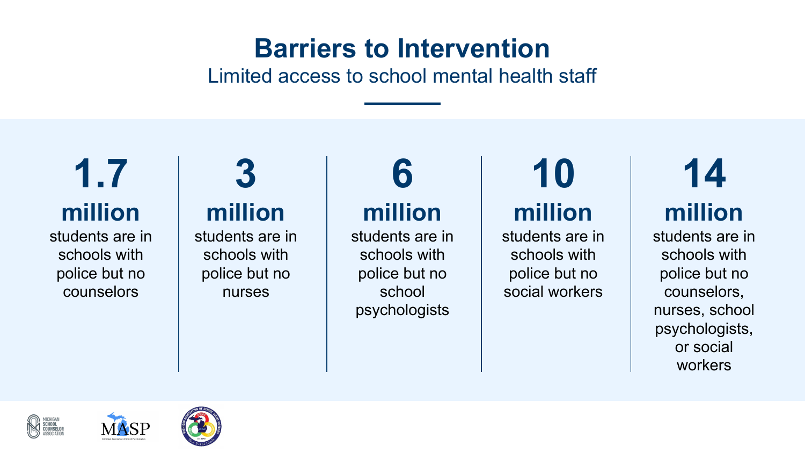#### **Barriers to Intervention**

Limited access to school mental health staff

# **1.7 million**

students are in schools with police but no counselors

#### **3 million**

students are in schools with police but no nurses

### **6 million**

students are in schools with police but no school psychologists

#### **10 million**

students are in schools with police but no social workers

# **14 million**

students are in schools with police but no counselors, nurses, school psychologists, or social workers





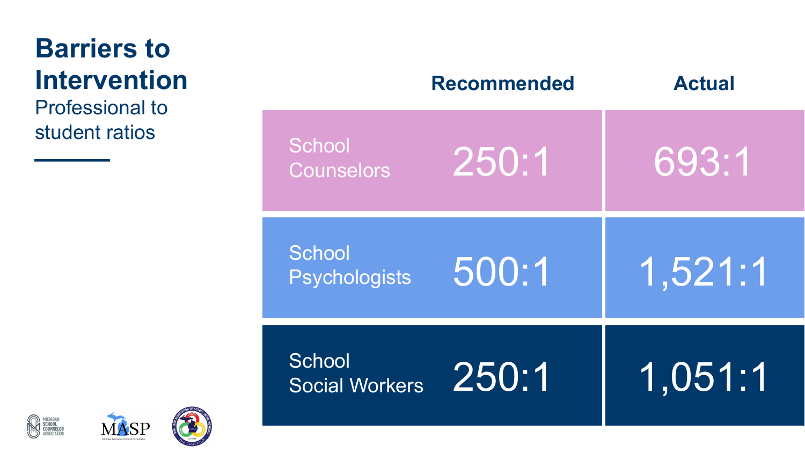### **Barriers to Intervention**

Professional to student ratios

|                                    | <b>Recommended</b> | <b>Actual</b> |
|------------------------------------|--------------------|---------------|
| <b>School</b><br><b>Counselors</b> | 250:1              | 693:1         |
| School<br><b>Psychologists</b>     | 500:1              | 1,521:1       |
| School<br><b>Social Workers</b>    | 250:1              | 1,051:1       |